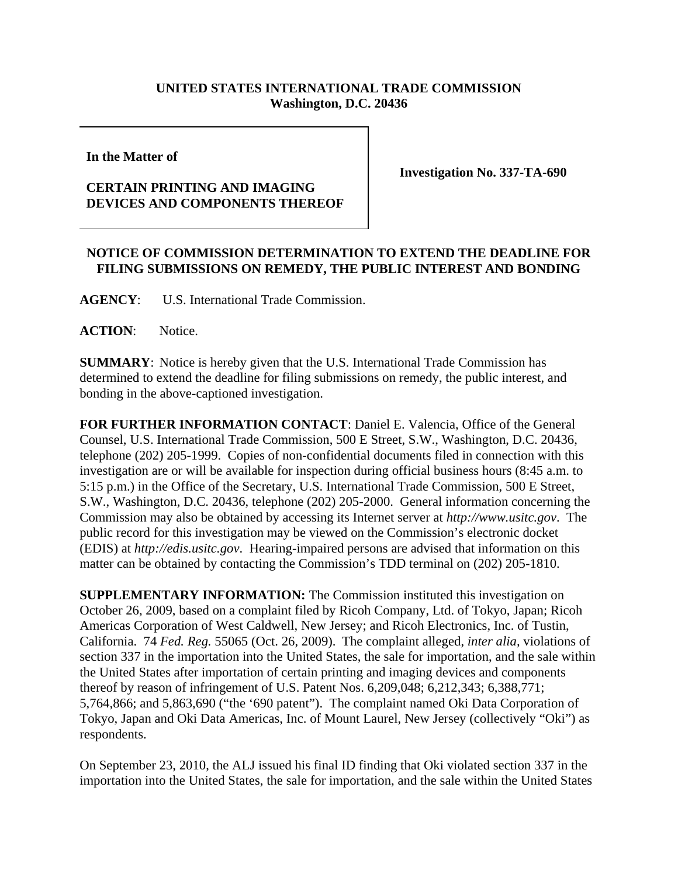## **UNITED STATES INTERNATIONAL TRADE COMMISSION Washington, D.C. 20436**

**In the Matter of** 

## **CERTAIN PRINTING AND IMAGING DEVICES AND COMPONENTS THEREOF**

**Investigation No. 337-TA-690**

## **NOTICE OF COMMISSION DETERMINATION TO EXTEND THE DEADLINE FOR FILING SUBMISSIONS ON REMEDY, THE PUBLIC INTEREST AND BONDING**

**AGENCY**: U.S. International Trade Commission.

**ACTION**: Notice.

**SUMMARY**: Notice is hereby given that the U.S. International Trade Commission has determined to extend the deadline for filing submissions on remedy, the public interest, and bonding in the above-captioned investigation.

**FOR FURTHER INFORMATION CONTACT**: Daniel E. Valencia, Office of the General Counsel, U.S. International Trade Commission, 500 E Street, S.W., Washington, D.C. 20436, telephone (202) 205-1999. Copies of non-confidential documents filed in connection with this investigation are or will be available for inspection during official business hours (8:45 a.m. to 5:15 p.m.) in the Office of the Secretary, U.S. International Trade Commission, 500 E Street, S.W., Washington, D.C. 20436, telephone (202) 205-2000. General information concerning the Commission may also be obtained by accessing its Internet server at *http://www.usitc.gov*. The public record for this investigation may be viewed on the Commission's electronic docket (EDIS) at *http://edis.usitc.gov*. Hearing-impaired persons are advised that information on this matter can be obtained by contacting the Commission's TDD terminal on (202) 205-1810.

**SUPPLEMENTARY INFORMATION:** The Commission instituted this investigation on October 26, 2009, based on a complaint filed by Ricoh Company, Ltd. of Tokyo, Japan; Ricoh Americas Corporation of West Caldwell, New Jersey; and Ricoh Electronics, Inc. of Tustin, California. 74 *Fed. Reg.* 55065 (Oct. 26, 2009). The complaint alleged, *inter alia,* violations of section 337 in the importation into the United States, the sale for importation, and the sale within the United States after importation of certain printing and imaging devices and components thereof by reason of infringement of U.S. Patent Nos. 6,209,048; 6,212,343; 6,388,771; 5,764,866; and 5,863,690 ("the '690 patent"). The complaint named Oki Data Corporation of Tokyo, Japan and Oki Data Americas, Inc. of Mount Laurel, New Jersey (collectively "Oki") as respondents.

On September 23, 2010, the ALJ issued his final ID finding that Oki violated section 337 in the importation into the United States, the sale for importation, and the sale within the United States